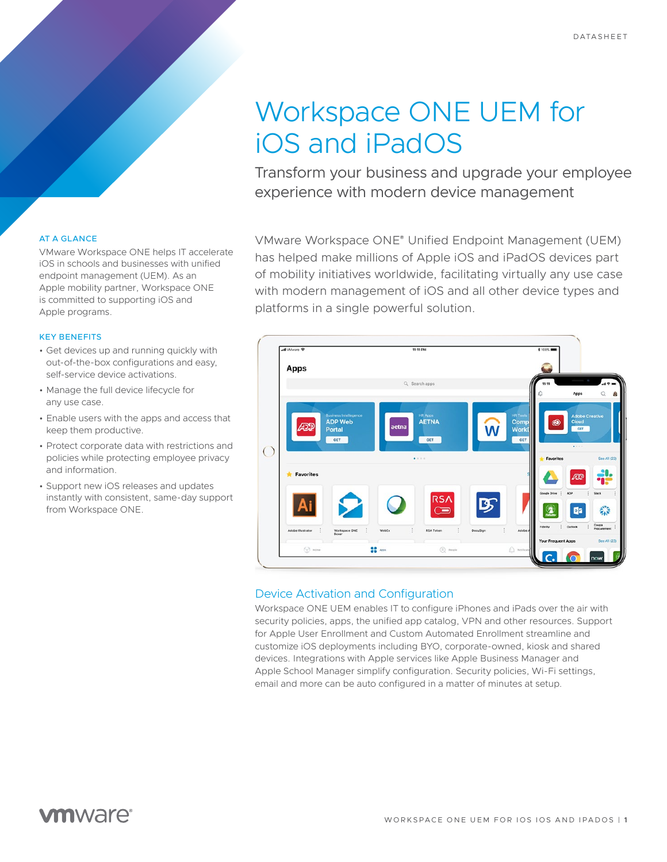# Workspace ONE UEM for iOS and iPadOS

Transform your business and upgrade your employee experience with modern device management

## AT A GLANCE

VMware Workspace ONE helps IT accelerate iOS in schools and businesses with unified endpoint management (UEM). As an Apple mobility partner, Workspace ONE is committed to supporting iOS and Apple programs.

#### KEY BENEFITS

- Get devices up and running quickly with out-of-the-box configurations and easy, self-service device activations.
- Manage the full device lifecycle for any use case.
- Enable users with the apps and access that keep them productive.
- Protect corporate data with restrictions and policies while protecting employee privacy and information.
- Support new iOS releases and updates instantly with consistent, same-day support from Workspace ONE.

VMware Workspace ONE® Unified Endpoint Management (UEM) has helped make millions of Apple iOS and iPadOS devices part of mobility initiatives worldwide, facilitating virtually any use case with modern management of iOS and all other device types and platforms in a single powerful solution.



## Device Activation and Configuration

Workspace ONE UEM enables IT to configure iPhones and iPads over the air with security policies, apps, the unified app catalog, VPN and other resources. Support for Apple User Enrollment and Custom Automated Enrollment streamline and customize iOS deployments including BYO, corporate-owned, kiosk and shared devices. Integrations with Apple services like Apple Business Manager and Apple School Manager simplify configuration. Security policies, Wi-Fi settings, email and more can be auto configured in a matter of minutes at setup.